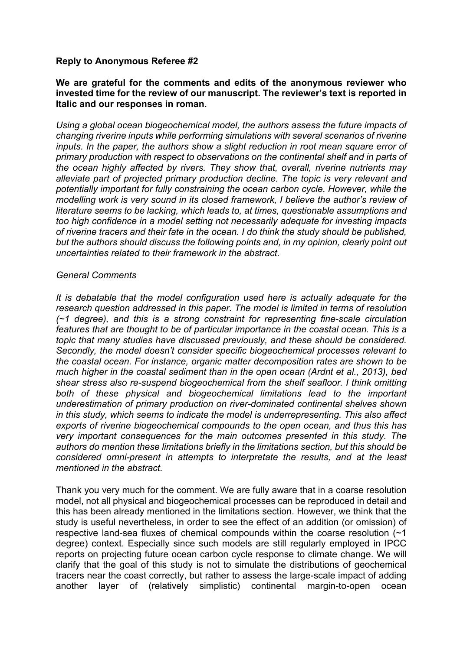### **Reply to Anonymous Referee #2**

### **We are grateful for the comments and edits of the anonymous reviewer who invested time for the review of our manuscript. The reviewer's text is reported in Italic and our responses in roman.**

*Using a global ocean biogeochemical model, the authors assess the future impacts of changing riverine inputs while performing simulations with several scenarios of riverine inputs. In the paper, the authors show a slight reduction in root mean square error of primary production with respect to observations on the continental shelf and in parts of the ocean highly affected by rivers. They show that, overall, riverine nutrients may alleviate part of projected primary production decline. The topic is very relevant and potentially important for fully constraining the ocean carbon cycle. However, while the modelling work is very sound in its closed framework, I believe the author's review of literature seems to be lacking, which leads to, at times, questionable assumptions and too high confidence in a model setting not necessarily adequate for investing impacts of riverine tracers and their fate in the ocean. I do think the study should be published, but the authors should discuss the following points and, in my opinion, clearly point out uncertainties related to their framework in the abstract.*

#### *General Comments*

*It is debatable that the model configuration used here is actually adequate for the research question addressed in this paper. The model is limited in terms of resolution (~1 degree), and this is a strong constraint for representing fine-scale circulation features that are thought to be of particular importance in the coastal ocean. This is a topic that many studies have discussed previously, and these should be considered. Secondly, the model doesn't consider specific biogeochemical processes relevant to the coastal ocean. For instance, organic matter decomposition rates are shown to be much higher in the coastal sediment than in the open ocean (Ardnt et al., 2013), bed shear stress also re-suspend biogeochemical from the shelf seafloor. I think omitting both of these physical and biogeochemical limitations lead to the important underestimation of primary production on river-dominated continental shelves shown in this study, which seems to indicate the model is underrepresenting. This also affect exports of riverine biogeochemical compounds to the open ocean, and thus this has very important consequences for the main outcomes presented in this study. The authors do mention these limitations briefly in the limitations section, but this should be considered omni-present in attempts to interpretate the results, and at the least mentioned in the abstract.*

Thank you very much for the comment. We are fully aware that in a coarse resolution model, not all physical and biogeochemical processes can be reproduced in detail and this has been already mentioned in the limitations section. However, we think that the study is useful nevertheless, in order to see the effect of an addition (or omission) of respective land-sea fluxes of chemical compounds within the coarse resolution (~1 degree) context. Especially since such models are still regularly employed in IPCC reports on projecting future ocean carbon cycle response to climate change. We will clarify that the goal of this study is not to simulate the distributions of geochemical tracers near the coast correctly, but rather to assess the large-scale impact of adding another layer of (relatively simplistic) continental margin-to-open ocean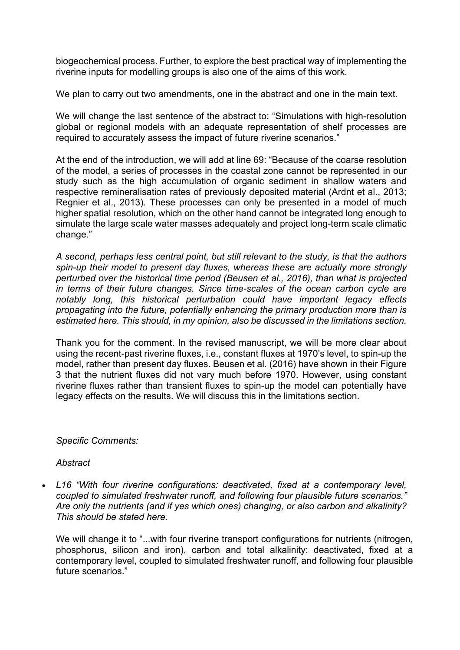biogeochemical process. Further, to explore the best practical way of implementing the riverine inputs for modelling groups is also one of the aims of this work.

We plan to carry out two amendments, one in the abstract and one in the main text.

We will change the last sentence of the abstract to: "Simulations with high-resolution global or regional models with an adequate representation of shelf processes are required to accurately assess the impact of future riverine scenarios."

At the end of the introduction, we will add at line 69: "Because of the coarse resolution of the model, a series of processes in the coastal zone cannot be represented in our study such as the high accumulation of organic sediment in shallow waters and respective remineralisation rates of previously deposited material (Ardnt et al., 2013; Regnier et al., 2013). These processes can only be presented in a model of much higher spatial resolution, which on the other hand cannot be integrated long enough to simulate the large scale water masses adequately and project long-term scale climatic change."

*A second, perhaps less central point, but still relevant to the study, is that the authors spin-up their model to present day fluxes, whereas these are actually more strongly perturbed over the historical time period (Beusen et al., 2016), than what is projected in terms of their future changes. Since time-scales of the ocean carbon cycle are notably long, this historical perturbation could have important legacy effects propagating into the future, potentially enhancing the primary production more than is estimated here. This should, in my opinion, also be discussed in the limitations section.*

Thank you for the comment. In the revised manuscript, we will be more clear about using the recent-past riverine fluxes, i.e., constant fluxes at 1970's level, to spin-up the model, rather than present day fluxes. Beusen et al. (2016) have shown in their Figure 3 that the nutrient fluxes did not vary much before 1970. However, using constant riverine fluxes rather than transient fluxes to spin-up the model can potentially have legacy effects on the results. We will discuss this in the limitations section.

## *Specific Comments:*

*Abstract*

• *L16 "With four riverine configurations: deactivated, fixed at a contemporary level, coupled to simulated freshwater runoff, and following four plausible future scenarios." Are only the nutrients (and if yes which ones) changing, or also carbon and alkalinity? This should be stated here.*

We will change it to "...with four riverine transport configurations for nutrients (nitrogen, phosphorus, silicon and iron), carbon and total alkalinity: deactivated, fixed at a contemporary level, coupled to simulated freshwater runoff, and following four plausible future scenarios."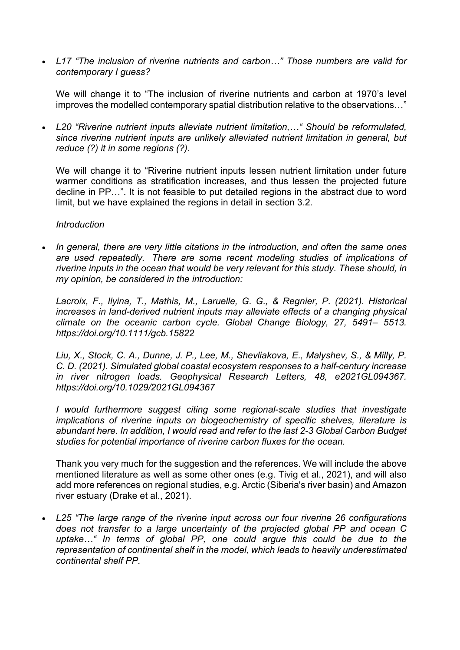• *L17 "The inclusion of riverine nutrients and carbon…" Those numbers are valid for contemporary I guess?*

We will change it to "The inclusion of riverine nutrients and carbon at 1970's level improves the modelled contemporary spatial distribution relative to the observations…"

• *L20 "Riverine nutrient inputs alleviate nutrient limitation,…" Should be reformulated, since riverine nutrient inputs are unlikely alleviated nutrient limitation in general, but reduce (?) it in some regions (?).*

We will change it to "Riverine nutrient inputs lessen nutrient limitation under future warmer conditions as stratification increases, and thus lessen the projected future decline in PP…". It is not feasible to put detailed regions in the abstract due to word limit, but we have explained the regions in detail in section 3.2.

#### *Introduction*

• *In general, there are very little citations in the introduction, and often the same ones are used repeatedly. There are some recent modeling studies of implications of riverine inputs in the ocean that would be very relevant for this study. These should, in my opinion, be considered in the introduction:*

*Lacroix, F., Ilyina, T., Mathis, M., Laruelle, G. G., & Regnier, P. (2021). Historical increases in land-derived nutrient inputs may alleviate effects of a changing physical climate on the oceanic carbon cycle. Global Change Biology, 27, 5491– 5513. https://doi.org/10.1111/gcb.15822*

*Liu, X., Stock, C. A., Dunne, J. P., Lee, M., Shevliakova, E., Malyshev, S., & Milly, P. C. D. (2021). Simulated global coastal ecosystem responses to a half-century increase in river nitrogen loads. Geophysical Research Letters, 48, e2021GL094367. https://doi.org/10.1029/2021GL094367*

*I would furthermore suggest citing some regional-scale studies that investigate implications of riverine inputs on biogeochemistry of specific shelves, literature is abundant here. In addition, I would read and refer to the last 2-3 Global Carbon Budget studies for potential importance of riverine carbon fluxes for the ocean.*

Thank you very much for the suggestion and the references. We will include the above mentioned literature as well as some other ones (e.g. Tivig et al., 2021), and will also add more references on regional studies, e.g. Arctic (Siberia's river basin) and Amazon river estuary (Drake et al., 2021).

• *L25 "The large range of the riverine input across our four riverine 26 configurations does not transfer to a large uncertainty of the projected global PP and ocean C uptake…" In terms of global PP, one could argue this could be due to the representation of continental shelf in the model, which leads to heavily underestimated continental shelf PP.*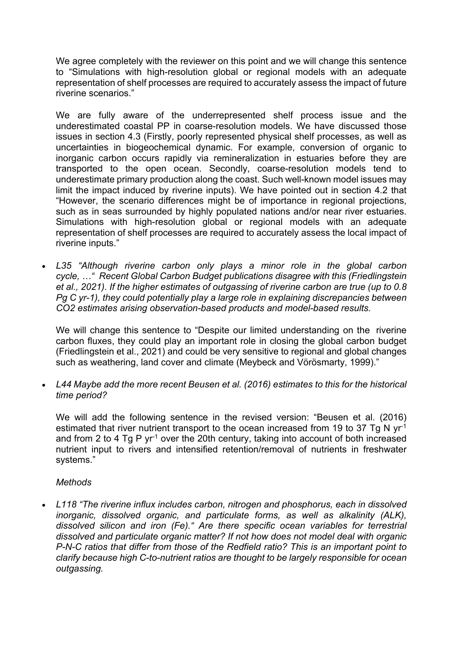We agree completely with the reviewer on this point and we will change this sentence to "Simulations with high-resolution global or regional models with an adequate representation of shelf processes are required to accurately assess the impact of future riverine scenarios."

We are fully aware of the underrepresented shelf process issue and the underestimated coastal PP in coarse-resolution models. We have discussed those issues in section 4.3 (Firstly, poorly represented physical shelf processes, as well as uncertainties in biogeochemical dynamic. For example, conversion of organic to inorganic carbon occurs rapidly via remineralization in estuaries before they are transported to the open ocean. Secondly, coarse-resolution models tend to underestimate primary production along the coast. Such well-known model issues may limit the impact induced by riverine inputs). We have pointed out in section 4.2 that "However, the scenario differences might be of importance in regional projections, such as in seas surrounded by highly populated nations and/or near river estuaries. Simulations with high-resolution global or regional models with an adequate representation of shelf processes are required to accurately assess the local impact of riverine inputs."

• *L35 "Although riverine carbon only plays a minor role in the global carbon cycle, …" Recent Global Carbon Budget publications disagree with this (Friedlingstein et al., 2021). If the higher estimates of outgassing of riverine carbon are true (up to 0.8 Pg C yr-1), they could potentially play a large role in explaining discrepancies between CO2 estimates arising observation-based products and model-based results.*

We will change this sentence to "Despite our limited understanding on the riverine carbon fluxes, they could play an important role in closing the global carbon budget (Friedlingstein et al., 2021) and could be very sensitive to regional and global changes such as weathering, land cover and climate (Meybeck and Vörösmarty, 1999)."

• *L44 Maybe add the more recent Beusen et al. (2016) estimates to this for the historical time period?*

We will add the following sentence in the revised version: "Beusen et al. (2016) estimated that river nutrient transport to the ocean increased from 19 to 37 Tg N  $vr<sup>-1</sup>$ and from 2 to 4 Tg P  $yr<sup>-1</sup>$  over the 20th century, taking into account of both increased nutrient input to rivers and intensified retention/removal of nutrients in freshwater systems."

## *Methods*

• *L118 "The riverine influx includes carbon, nitrogen and phosphorus, each in dissolved inorganic, dissolved organic, and particulate forms, as well as alkalinity (ALK), dissolved silicon and iron (Fe)." Are there specific ocean variables for terrestrial dissolved and particulate organic matter? If not how does not model deal with organic P-N-C ratios that differ from those of the Redfield ratio? This is an important point to clarify because high C-to-nutrient ratios are thought to be largely responsible for ocean outgassing.*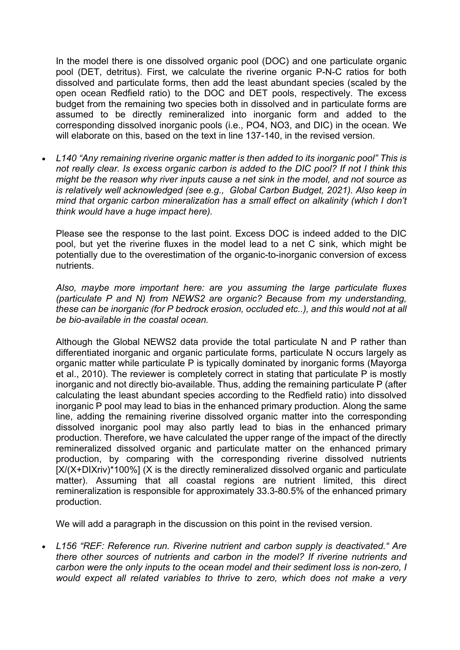In the model there is one dissolved organic pool (DOC) and one particulate organic pool (DET, detritus). First, we calculate the riverine organic P-N-C ratios for both dissolved and particulate forms, then add the least abundant species (scaled by the open ocean Redfield ratio) to the DOC and DET pools, respectively. The excess budget from the remaining two species both in dissolved and in particulate forms are assumed to be directly remineralized into inorganic form and added to the corresponding dissolved inorganic pools (i.e., PO4, NO3, and DIC) in the ocean. We will elaborate on this, based on the text in line 137-140, in the revised version.

• *L140 "Any remaining riverine organic matter is then added to its inorganic pool" This is not really clear. Is excess organic carbon is added to the DIC pool? If not I think this might be the reason why river inputs cause a net sink in the model, and not source as is relatively well acknowledged (see e.g., Global Carbon Budget, 2021). Also keep in mind that organic carbon mineralization has a small effect on alkalinity (which I don't think would have a huge impact here).*

Please see the response to the last point. Excess DOC is indeed added to the DIC pool, but yet the riverine fluxes in the model lead to a net C sink, which might be potentially due to the overestimation of the organic-to-inorganic conversion of excess nutrients.

*Also, maybe more important here: are you assuming the large particulate fluxes (particulate P and N) from NEWS2 are organic? Because from my understanding, these can be inorganic (for P bedrock erosion, occluded etc..), and this would not at all be bio-available in the coastal ocean.*

Although the Global NEWS2 data provide the total particulate N and P rather than differentiated inorganic and organic particulate forms, particulate N occurs largely as organic matter while particulate P is typically dominated by inorganic forms (Mayorga et al., 2010). The reviewer is completely correct in stating that particulate P is mostly inorganic and not directly bio-available. Thus, adding the remaining particulate P (after calculating the least abundant species according to the Redfield ratio) into dissolved inorganic P pool may lead to bias in the enhanced primary production. Along the same line, adding the remaining riverine dissolved organic matter into the corresponding dissolved inorganic pool may also partly lead to bias in the enhanced primary production. Therefore, we have calculated the upper range of the impact of the directly remineralized dissolved organic and particulate matter on the enhanced primary production, by comparing with the corresponding riverine dissolved nutrients [X/(X+DIXriv)\*100%] (X is the directly remineralized dissolved organic and particulate matter). Assuming that all coastal regions are nutrient limited, this direct remineralization is responsible for approximately 33.3-80.5% of the enhanced primary production.

We will add a paragraph in the discussion on this point in the revised version.

• *L156 "REF: Reference run. Riverine nutrient and carbon supply is deactivated." Are there other sources of nutrients and carbon in the model? If riverine nutrients and carbon were the only inputs to the ocean model and their sediment loss is non-zero, I would expect all related variables to thrive to zero, which does not make a very*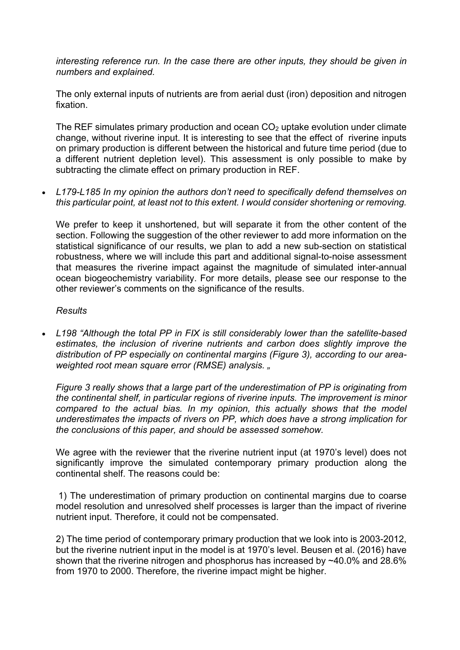*interesting reference run. In the case there are other inputs, they should be given in numbers and explained.*

The only external inputs of nutrients are from aerial dust (iron) deposition and nitrogen fixation.

The REF simulates primary production and ocean  $CO<sub>2</sub>$  uptake evolution under climate change, without riverine input. It is interesting to see that the effect of riverine inputs on primary production is different between the historical and future time period (due to a different nutrient depletion level). This assessment is only possible to make by subtracting the climate effect on primary production in REF.

• *L179-L185 In my opinion the authors don't need to specifically defend themselves on this particular point, at least not to this extent. I would consider shortening or removing.*

We prefer to keep it unshortened, but will separate it from the other content of the section. Following the suggestion of the other reviewer to add more information on the statistical significance of our results, we plan to add a new sub-section on statistical robustness, where we will include this part and additional signal-to-noise assessment that measures the riverine impact against the magnitude of simulated inter-annual ocean biogeochemistry variability. For more details, please see our response to the other reviewer's comments on the significance of the results.

#### *Results*

• *L198 "Although the total PP in FIX is still considerably lower than the satellite-based estimates, the inclusion of riverine nutrients and carbon does slightly improve the distribution of PP especially on continental margins (Figure 3), according to our areaweighted root mean square error (RMSE) analysis. "*

*Figure 3 really shows that a large part of the underestimation of PP is originating from the continental shelf, in particular regions of riverine inputs. The improvement is minor compared to the actual bias. In my opinion, this actually shows that the model underestimates the impacts of rivers on PP, which does have a strong implication for the conclusions of this paper, and should be assessed somehow.*

We agree with the reviewer that the riverine nutrient input (at 1970's level) does not significantly improve the simulated contemporary primary production along the continental shelf. The reasons could be:

1) The underestimation of primary production on continental margins due to coarse model resolution and unresolved shelf processes is larger than the impact of riverine nutrient input. Therefore, it could not be compensated.

2) The time period of contemporary primary production that we look into is 2003-2012, but the riverine nutrient input in the model is at 1970's level. Beusen et al. (2016) have shown that the riverine nitrogen and phosphorus has increased by ~40.0% and 28.6% from 1970 to 2000. Therefore, the riverine impact might be higher.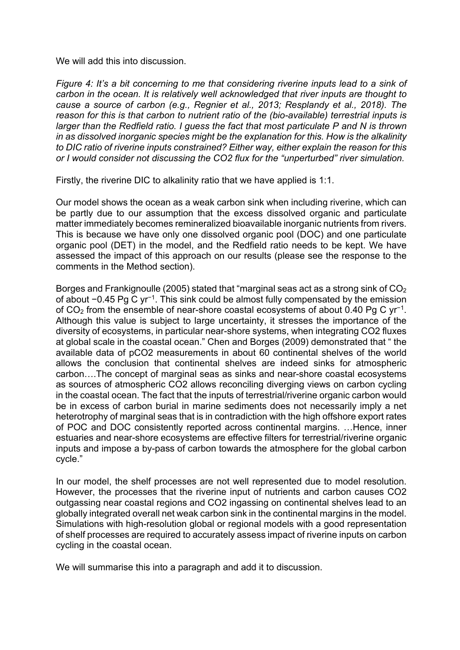We will add this into discussion.

*Figure 4: It's a bit concerning to me that considering riverine inputs lead to a sink of carbon in the ocean. It is relatively well acknowledged that river inputs are thought to cause a source of carbon (e.g., Regnier et al., 2013; Resplandy et al., 2018). The reason for this is that carbon to nutrient ratio of the (bio-available) terrestrial inputs is larger than the Redfield ratio. I guess the fact that most particulate P and N is thrown in as dissolved inorganic species might be the explanation for this. How is the alkalinity to DIC ratio of riverine inputs constrained? Either way, either explain the reason for this or I would consider not discussing the CO2 flux for the "unperturbed" river simulation.*

Firstly, the riverine DIC to alkalinity ratio that we have applied is 1:1.

Our model shows the ocean as a weak carbon sink when including riverine, which can be partly due to our assumption that the excess dissolved organic and particulate matter immediately becomes remineralized bioavailable inorganic nutrients from rivers. This is because we have only one dissolved organic pool (DOC) and one particulate organic pool (DET) in the model, and the Redfield ratio needs to be kept. We have assessed the impact of this approach on our results (please see the response to the comments in the Method section).

Borges and Frankignoulle (2005) stated that "marginal seas act as a strong sink of  $CO<sub>2</sub>$ of about −0.45 Pg C yr−1. This sink could be almost fully compensated by the emission of CO2 from the ensemble of near-shore coastal ecosystems of about 0.40 Pg C yr−1. Although this value is subject to large uncertainty, it stresses the importance of the diversity of ecosystems, in particular near-shore systems, when integrating CO2 fluxes at global scale in the coastal ocean." Chen and Borges (2009) demonstrated that " the available data of pCO2 measurements in about 60 continental shelves of the world allows the conclusion that continental shelves are indeed sinks for atmospheric carbon….The concept of marginal seas as sinks and near-shore coastal ecosystems as sources of atmospheric CO2 allows reconciling diverging views on carbon cycling in the coastal ocean. The fact that the inputs of terrestrial/riverine organic carbon would be in excess of carbon burial in marine sediments does not necessarily imply a net heterotrophy of marginal seas that is in contradiction with the high offshore export rates of POC and DOC consistently reported across continental margins. …Hence, inner estuaries and near-shore ecosystems are effective filters for terrestrial/riverine organic inputs and impose a by-pass of carbon towards the atmosphere for the global carbon cycle."

In our model, the shelf processes are not well represented due to model resolution. However, the processes that the riverine input of nutrients and carbon causes CO2 outgassing near coastal regions and CO2 ingassing on continental shelves lead to an globally integrated overall net weak carbon sink in the continental margins in the model. Simulations with high-resolution global or regional models with a good representation of shelf processes are required to accurately assess impact of riverine inputs on carbon cycling in the coastal ocean.

We will summarise this into a paragraph and add it to discussion.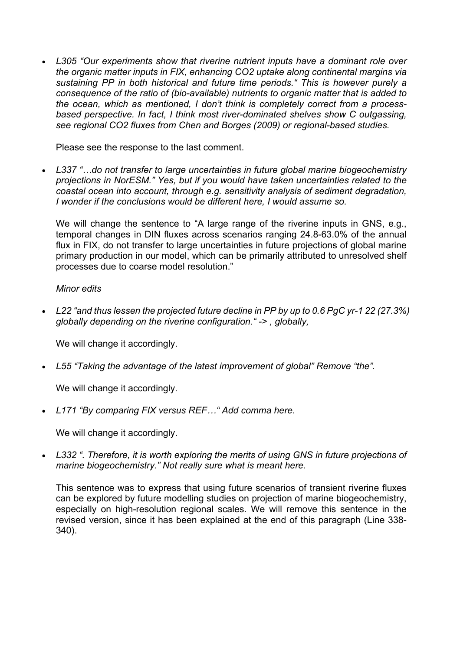• *L305 "Our experiments show that riverine nutrient inputs have a dominant role over the organic matter inputs in FIX, enhancing CO2 uptake along continental margins via sustaining PP in both historical and future time periods." This is however purely a consequence of the ratio of (bio-available) nutrients to organic matter that is added to the ocean, which as mentioned, I don't think is completely correct from a processbased perspective. In fact, I think most river-dominated shelves show C outgassing, see regional CO2 fluxes from Chen and Borges (2009) or regional-based studies.*

Please see the response to the last comment.

• *L337 "…do not transfer to large uncertainties in future global marine biogeochemistry projections in NorESM." Yes, but if you would have taken uncertainties related to the coastal ocean into account, through e.g. sensitivity analysis of sediment degradation, I wonder if the conclusions would be different here, I would assume so.*

We will change the sentence to "A large range of the riverine inputs in GNS, e.g., temporal changes in DIN fluxes across scenarios ranging 24.8-63.0% of the annual flux in FIX, do not transfer to large uncertainties in future projections of global marine primary production in our model, which can be primarily attributed to unresolved shelf processes due to coarse model resolution."

## *Minor edits*

• *L22 "and thus lessen the projected future decline in PP by up to 0.6 PgC yr-1 22 (27.3%) globally depending on the riverine configuration." -> , globally,*

We will change it accordingly.

• *L55 "Taking the advantage of the latest improvement of global" Remove "the".*

We will change it accordingly.

• *L171 "By comparing FIX versus REF…" Add comma here.*

We will change it accordingly.

• *L332 ". Therefore, it is worth exploring the merits of using GNS in future projections of marine biogeochemistry." Not really sure what is meant here.*

This sentence was to express that using future scenarios of transient riverine fluxes can be explored by future modelling studies on projection of marine biogeochemistry, especially on high-resolution regional scales. We will remove this sentence in the revised version, since it has been explained at the end of this paragraph (Line 338- 340).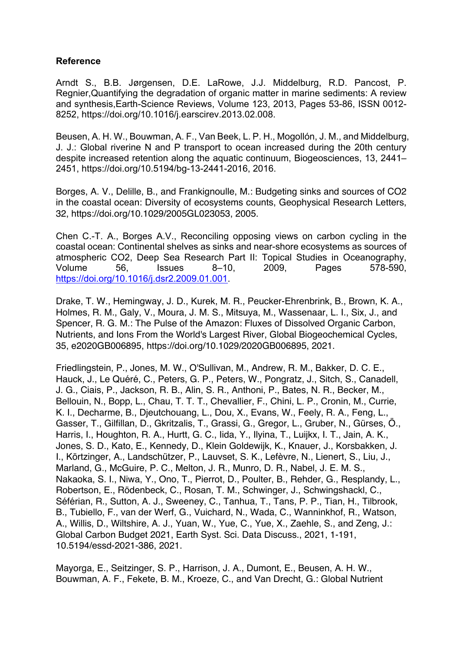# **Reference**

Arndt S., B.B. Jørgensen, D.E. LaRowe, J.J. Middelburg, R.D. Pancost, P. Regnier,Quantifying the degradation of organic matter in marine sediments: A review and synthesis,Earth-Science Reviews, Volume 123, 2013, Pages 53-86, ISSN 0012- 8252, https://doi.org/10.1016/j.earscirev.2013.02.008.

Beusen, A. H. W., Bouwman, A. F., Van Beek, L. P. H., Mogollón, J. M., and Middelburg, J. J.: Global riverine N and P transport to ocean increased during the 20th century despite increased retention along the aquatic continuum, Biogeosciences, 13, 2441– 2451, https://doi.org/10.5194/bg-13-2441-2016, 2016.

Borges, A. V., Delille, B., and Frankignoulle, M.: Budgeting sinks and sources of CO2 in the coastal ocean: Diversity of ecosystems counts, Geophysical Research Letters, 32, https://doi.org/10.1029/2005GL023053, 2005.

Chen C.-T. A., Borges A.V., Reconciling opposing views on carbon cycling in the coastal ocean: Continental shelves as sinks and near-shore ecosystems as sources of atmospheric CO2, Deep Sea Research Part II: Topical Studies in Oceanography, Volume 56, Issues 8–10, 2009, Pages 578-590, https://doi.org/10.1016/j.dsr2.2009.01.001.

Drake, T. W., Hemingway, J. D., Kurek, M. R., Peucker-Ehrenbrink, B., Brown, K. A., Holmes, R. M., Galy, V., Moura, J. M. S., Mitsuya, M., Wassenaar, L. I., Six, J., and Spencer, R. G. M.: The Pulse of the Amazon: Fluxes of Dissolved Organic Carbon, Nutrients, and Ions From the World's Largest River, Global Biogeochemical Cycles, 35, e2020GB006895, https://doi.org/10.1029/2020GB006895, 2021.

Friedlingstein, P., Jones, M. W., O'Sullivan, M., Andrew, R. M., Bakker, D. C. E., Hauck, J., Le Quéré, C., Peters, G. P., Peters, W., Pongratz, J., Sitch, S., Canadell, J. G., Ciais, P., Jackson, R. B., Alin, S. R., Anthoni, P., Bates, N. R., Becker, M., Bellouin, N., Bopp, L., Chau, T. T. T., Chevallier, F., Chini, L. P., Cronin, M., Currie, K. I., Decharme, B., Djeutchouang, L., Dou, X., Evans, W., Feely, R. A., Feng, L., Gasser, T., Gilfillan, D., Gkritzalis, T., Grassi, G., Gregor, L., Gruber, N., Gürses, Ö., Harris, I., Houghton, R. A., Hurtt, G. C., Iida, Y., Ilyina, T., Luijkx, I. T., Jain, A. K., Jones, S. D., Kato, E., Kennedy, D., Klein Goldewijk, K., Knauer, J., Korsbakken, J. I., Körtzinger, A., Landschützer, P., Lauvset, S. K., Lefèvre, N., Lienert, S., Liu, J., Marland, G., McGuire, P. C., Melton, J. R., Munro, D. R., Nabel, J. E. M. S., Nakaoka, S. I., Niwa, Y., Ono, T., Pierrot, D., Poulter, B., Rehder, G., Resplandy, L., Robertson, E., Rödenbeck, C., Rosan, T. M., Schwinger, J., Schwingshackl, C., Séférian, R., Sutton, A. J., Sweeney, C., Tanhua, T., Tans, P. P., Tian, H., Tilbrook, B., Tubiello, F., van der Werf, G., Vuichard, N., Wada, C., Wanninkhof, R., Watson, A., Willis, D., Wiltshire, A. J., Yuan, W., Yue, C., Yue, X., Zaehle, S., and Zeng, J.: Global Carbon Budget 2021, Earth Syst. Sci. Data Discuss., 2021, 1-191, 10.5194/essd-2021-386, 2021.

Mayorga, E., Seitzinger, S. P., Harrison, J. A., Dumont, E., Beusen, A. H. W., Bouwman, A. F., Fekete, B. M., Kroeze, C., and Van Drecht, G.: Global Nutrient